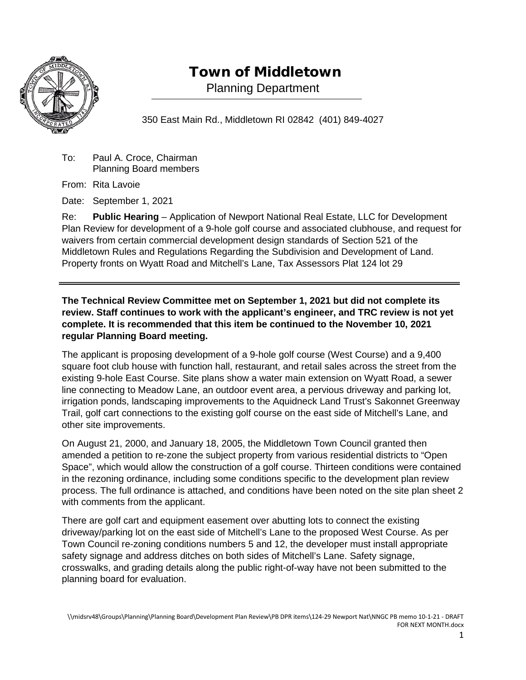

## Town of Middletown

Planning Department

350 East Main Rd., Middletown RI 02842 (401) 849-4027

To: Paul A. Croce, Chairman Planning Board members

From: Rita Lavoie

Date: September 1, 2021

Re: **Public Hearing** – Application of Newport National Real Estate, LLC for Development Plan Review for development of a 9-hole golf course and associated clubhouse, and request for waivers from certain commercial development design standards of Section 521 of the Middletown Rules and Regulations Regarding the Subdivision and Development of Land. Property fronts on Wyatt Road and Mitchell's Lane, Tax Assessors Plat 124 lot 29

**The Technical Review Committee met on September 1, 2021 but did not complete its review. Staff continues to work with the applicant's engineer, and TRC review is not yet complete. It is recommended that this item be continued to the November 10, 2021 regular Planning Board meeting.**

The applicant is proposing development of a 9-hole golf course (West Course) and a 9,400 square foot club house with function hall, restaurant, and retail sales across the street from the existing 9-hole East Course. Site plans show a water main extension on Wyatt Road, a sewer line connecting to Meadow Lane, an outdoor event area, a pervious driveway and parking lot, irrigation ponds, landscaping improvements to the Aquidneck Land Trust's Sakonnet Greenway Trail, golf cart connections to the existing golf course on the east side of Mitchell's Lane, and other site improvements.

On August 21, 2000, and January 18, 2005, the Middletown Town Council granted then amended a petition to re-zone the subject property from various residential districts to "Open Space", which would allow the construction of a golf course. Thirteen conditions were contained in the rezoning ordinance, including some conditions specific to the development plan review process. The full ordinance is attached, and conditions have been noted on the site plan sheet 2 with comments from the applicant.

There are golf cart and equipment easement over abutting lots to connect the existing driveway/parking lot on the east side of Mitchell's Lane to the proposed West Course. As per Town Council re-zoning conditions numbers 5 and 12, the developer must install appropriate safety signage and address ditches on both sides of Mitchell's Lane. Safety signage, crosswalks, and grading details along the public right-of-way have not been submitted to the planning board for evaluation.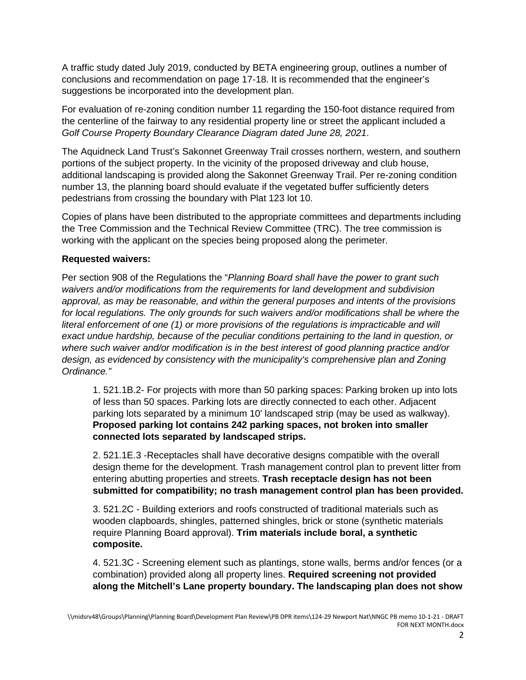A traffic study dated July 2019, conducted by BETA engineering group, outlines a number of conclusions and recommendation on page 17-18. It is recommended that the engineer's suggestions be incorporated into the development plan.

For evaluation of re-zoning condition number 11 regarding the 150-foot distance required from the centerline of the fairway to any residential property line or street the applicant included a *Golf Course Property Boundary Clearance Diagram dated June 28, 2021*.

The Aquidneck Land Trust's Sakonnet Greenway Trail crosses northern, western, and southern portions of the subject property. In the vicinity of the proposed driveway and club house, additional landscaping is provided along the Sakonnet Greenway Trail. Per re-zoning condition number 13, the planning board should evaluate if the vegetated buffer sufficiently deters pedestrians from crossing the boundary with Plat 123 lot 10.

Copies of plans have been distributed to the appropriate committees and departments including the Tree Commission and the Technical Review Committee (TRC). The tree commission is working with the applicant on the species being proposed along the perimeter.

## **Requested waivers:**

Per section 908 of the Regulations the "*Planning Board shall have the power to grant such waivers and/or modifications from the requirements for land development and subdivision approval, as may be reasonable, and within the general purposes and intents of the provisions for local regulations. The only grounds for such waivers and/or modifications shall be where the literal enforcement of one (1) or more provisions of the regulations is impracticable and will exact undue hardship, because of the peculiar conditions pertaining to the land in question, or where such waiver and/or modification is in the best interest of good planning practice and/or design, as evidenced by consistency with the municipality's comprehensive plan and Zoning Ordinance."*

1. 521.1B.2- For projects with more than 50 parking spaces: Parking broken up into lots of less than 50 spaces. Parking lots are directly connected to each other. Adjacent parking lots separated by a minimum 10' landscaped strip (may be used as walkway). **Proposed parking lot contains 242 parking spaces, not broken into smaller connected lots separated by landscaped strips.** 

2. 521.1E.3 -Receptacles shall have decorative designs compatible with the overall design theme for the development. Trash management control plan to prevent litter from entering abutting properties and streets. **Trash receptacle design has not been submitted for compatibility; no trash management control plan has been provided.** 

3. 521.2C - Building exteriors and roofs constructed of traditional materials such as wooden clapboards, shingles, patterned shingles, brick or stone (synthetic materials require Planning Board approval). **Trim materials include boral, a synthetic composite.**

4. 521.3C - Screening element such as plantings, stone walls, berms and/or fences (or a combination) provided along all property lines. **Required screening not provided along the Mitchell's Lane property boundary. The landscaping plan does not show**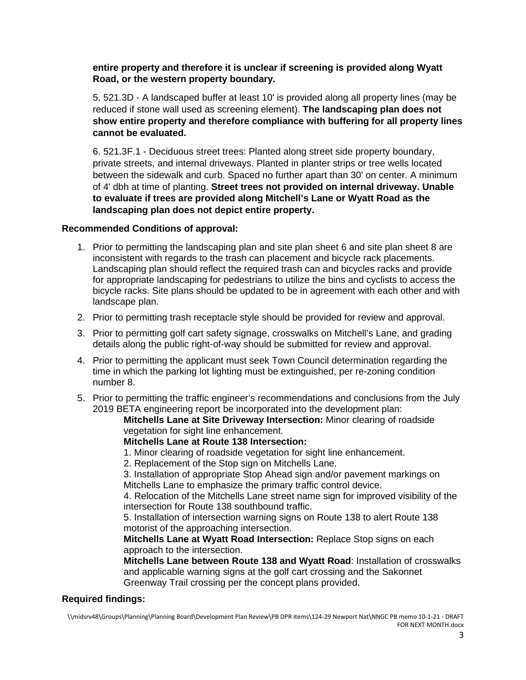**entire property and therefore it is unclear if screening is provided along Wyatt Road, or the western property boundary.** 

5. 521.3D - A landscaped buffer at least 10' is provided along all property lines (may be reduced if stone wall used as screening element). **The landscaping plan does not show entire property and therefore compliance with buffering for all property lines cannot be evaluated.**

6. 521.3F.1 - Deciduous street trees: Planted along street side property boundary, private streets, and internal driveways. Planted in planter strips or tree wells located between the sidewalk and curb. Spaced no further apart than 30' on center. A minimum of 4' dbh at time of planting. **Street trees not provided on internal driveway. Unable to evaluate if trees are provided along Mitchell's Lane or Wyatt Road as the landscaping plan does not depict entire property.** 

## **Recommended Conditions of approval:**

- 1. Prior to permitting the landscaping plan and site plan sheet 6 and site plan sheet 8 are inconsistent with regards to the trash can placement and bicycle rack placements. Landscaping plan should reflect the required trash can and bicycles racks and provide for appropriate landscaping for pedestrians to utilize the bins and cyclists to access the bicycle racks. Site plans should be updated to be in agreement with each other and with landscape plan.
- 2. Prior to permitting trash receptacle style should be provided for review and approval.
- 3. Prior to permitting golf cart safety signage, crosswalks on Mitchell's Lane, and grading details along the public right-of-way should be submitted for review and approval.
- 4. Prior to permitting the applicant must seek Town Council determination regarding the time in which the parking lot lighting must be extinguished, per re-zoning condition number 8.
- 5. Prior to permitting the traffic engineer's recommendations and conclusions from the July 2019 BETA engineering report be incorporated into the development plan:

**Mitchells Lane at Site Driveway Intersection:** Minor clearing of roadside vegetation for sight line enhancement.

**Mitchells Lane at Route 138 Intersection:**

1. Minor clearing of roadside vegetation for sight line enhancement.

2. Replacement of the Stop sign on Mitchells Lane.

3. Installation of appropriate Stop Ahead sign and/or pavement markings on Mitchells Lane to emphasize the primary traffic control device.

4. Relocation of the Mitchells Lane street name sign for improved visibility of the intersection for Route 138 southbound traffic.

5. Installation of intersection warning signs on Route 138 to alert Route 138 motorist of the approaching intersection.

**Mitchells Lane at Wyatt Road Intersection:** Replace Stop signs on each approach to the intersection.

**Mitchells Lane between Route 138 and Wyatt Road**: Installation of crosswalks and applicable warning signs at the golf cart crossing and the Sakonnet Greenway Trail crossing per the concept plans provided.

## **Required findings:**